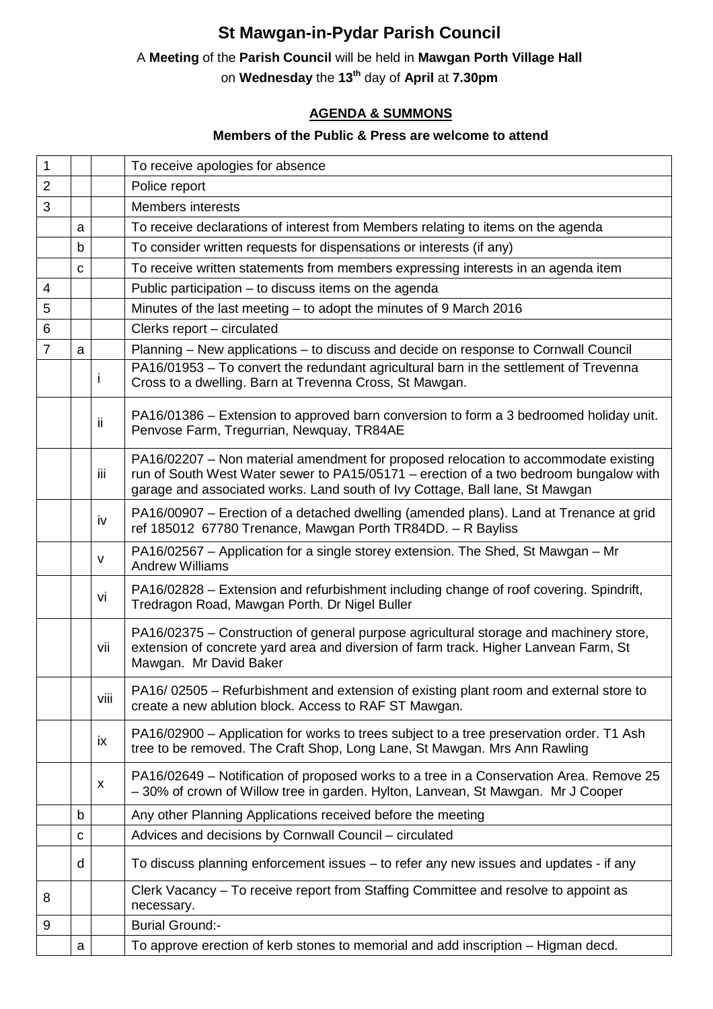# **St Mawgan-in-Pydar Parish Council**

## A **Meeting** of the **Parish Council** will be held in **Mawgan Porth Village Hall**

on **Wednesday** the **13th** day of **April** at **7.30pm** 

### **AGENDA & SUMMONS**

#### **Members of the Public & Press are welcome to attend**

| $\mathbf{1}$   |              |      | To receive apologies for absence                                                                                                                                                                                                                             |
|----------------|--------------|------|--------------------------------------------------------------------------------------------------------------------------------------------------------------------------------------------------------------------------------------------------------------|
| $\overline{2}$ |              |      | Police report                                                                                                                                                                                                                                                |
| 3              |              |      | <b>Members interests</b>                                                                                                                                                                                                                                     |
|                | a            |      | To receive declarations of interest from Members relating to items on the agenda                                                                                                                                                                             |
|                | b            |      | To consider written requests for dispensations or interests (if any)                                                                                                                                                                                         |
|                | C            |      | To receive written statements from members expressing interests in an agenda item                                                                                                                                                                            |
| 4              |              |      | Public participation - to discuss items on the agenda                                                                                                                                                                                                        |
| 5              |              |      | Minutes of the last meeting - to adopt the minutes of 9 March 2016                                                                                                                                                                                           |
| 6              |              |      | Clerks report - circulated                                                                                                                                                                                                                                   |
| $\overline{7}$ | $\mathsf{a}$ |      | Planning – New applications – to discuss and decide on response to Cornwall Council                                                                                                                                                                          |
|                |              | i    | PA16/01953 - To convert the redundant agricultural barn in the settlement of Trevenna<br>Cross to a dwelling. Barn at Trevenna Cross, St Mawgan.                                                                                                             |
|                |              | ij.  | PA16/01386 – Extension to approved barn conversion to form a 3 bedroomed holiday unit.<br>Penvose Farm, Tregurrian, Newquay, TR84AE                                                                                                                          |
|                |              | iii  | PA16/02207 - Non material amendment for proposed relocation to accommodate existing<br>run of South West Water sewer to PA15/05171 – erection of a two bedroom bungalow with<br>garage and associated works. Land south of Ivy Cottage, Ball lane, St Mawgan |
|                |              | iv   | PA16/00907 - Erection of a detached dwelling (amended plans). Land at Trenance at grid<br>ref 185012 67780 Trenance, Mawgan Porth TR84DD. - R Bayliss                                                                                                        |
|                |              | v    | PA16/02567 – Application for a single storey extension. The Shed, St Mawgan – Mr<br><b>Andrew Williams</b>                                                                                                                                                   |
|                |              | vi   | PA16/02828 – Extension and refurbishment including change of roof covering. Spindrift,<br>Tredragon Road, Mawgan Porth. Dr Nigel Buller                                                                                                                      |
|                |              | vii  | PA16/02375 – Construction of general purpose agricultural storage and machinery store,<br>extension of concrete yard area and diversion of farm track. Higher Lanvean Farm, St<br>Mawgan. Mr David Baker                                                     |
|                |              | Viii | PA16/02505 – Refurbishment and extension of existing plant room and external store to<br>create a new ablution block. Access to RAF ST Mawgan.                                                                                                               |
|                |              | ix   | PA16/02900 – Application for works to trees subject to a tree preservation order. T1 Ash<br>tree to be removed. The Craft Shop, Long Lane, St Mawgan. Mrs Ann Rawling                                                                                        |
|                |              | X    | PA16/02649 – Notification of proposed works to a tree in a Conservation Area. Remove 25<br>-30% of crown of Willow tree in garden. Hylton, Lanvean, St Mawgan. Mr J Cooper                                                                                   |
|                | b            |      | Any other Planning Applications received before the meeting                                                                                                                                                                                                  |
|                | с            |      | Advices and decisions by Cornwall Council - circulated                                                                                                                                                                                                       |
|                | d            |      | To discuss planning enforcement issues – to refer any new issues and updates - if any                                                                                                                                                                        |
| 8              |              |      | Clerk Vacancy – To receive report from Staffing Committee and resolve to appoint as<br>necessary.                                                                                                                                                            |
| 9              |              |      | <b>Burial Ground:-</b>                                                                                                                                                                                                                                       |
|                | a            |      | To approve erection of kerb stones to memorial and add inscription – Higman decd.                                                                                                                                                                            |